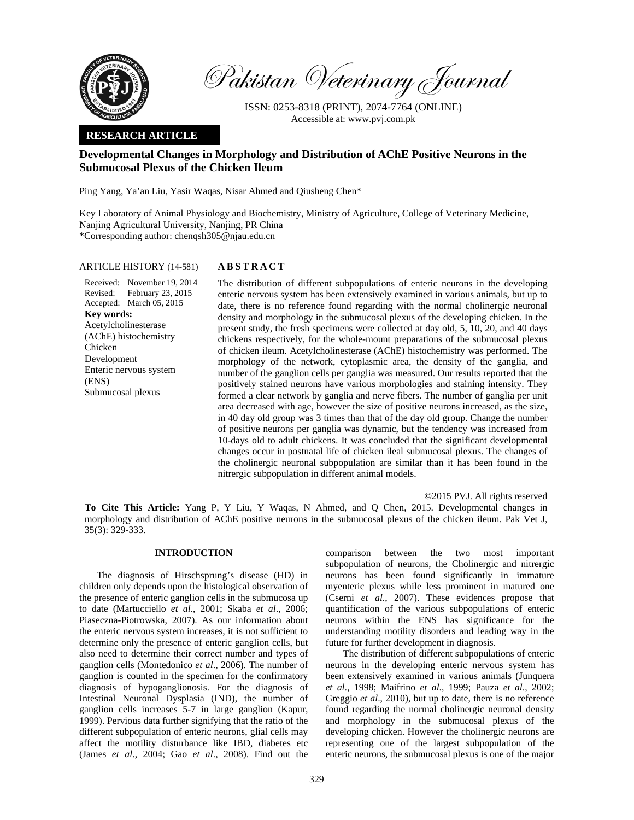

Pakistan Veterinary Journal

ISSN: 0253-8318 (PRINT), 2074-7764 (ONLINE) Accessible at: www.pvj.com.pk

## **RESEARCH ARTICLE**

# **Developmental Changes in Morphology and Distribution of AChE Positive Neurons in the Submucosal Plexus of the Chicken Ileum**

Ping Yang, Ya'an Liu, Yasir Waqas, Nisar Ahmed and Qiusheng Chen\*

Key Laboratory of Animal Physiology and Biochemistry, Ministry of Agriculture, College of Veterinary Medicine, Nanjing Agricultural University, Nanjing, PR China \*Corresponding author: chenqsh305@njau.edu.cn

### ARTICLE HISTORY (14-581) **ABSTRACT**

Received: November 19, 2014 Revised: Accepted: March 05, 2015 February 23, 2015 **Key words:**  Acetylcholinesterase (AChE) histochemistry Chicken Development Enteric nervous system (ENS) Submucosal plexus

 The distribution of different subpopulations of enteric neurons in the developing enteric nervous system has been extensively examined in various animals, but up to date, there is no reference found regarding with the normal cholinergic neuronal density and morphology in the submucosal plexus of the developing chicken. In the present study, the fresh specimens were collected at day old, 5, 10, 20, and 40 days chickens respectively, for the whole-mount preparations of the submucosal plexus of chicken ileum. Acetylcholinesterase (AChE) histochemistry was performed. The morphology of the network, cytoplasmic area, the density of the ganglia, and number of the ganglion cells per ganglia was measured. Our results reported that the positively stained neurons have various morphologies and staining intensity. They formed a clear network by ganglia and nerve fibers. The number of ganglia per unit area decreased with age, however the size of positive neurons increased, as the size, in 40 day old group was 3 times than that of the day old group. Change the number of positive neurons per ganglia was dynamic, but the tendency was increased from 10-days old to adult chickens. It was concluded that the significant developmental changes occur in postnatal life of chicken ileal submucosal plexus. The changes of the cholinergic neuronal subpopulation are similar than it has been found in the nitrergic subpopulation in different animal models.

©2015 PVJ. All rights reserved **To Cite This Article:** Yang P, Y Liu, Y Waqas, N Ahmed, and Q Chen, 2015. Developmental changes in morphology and distribution of AChE positive neurons in the submucosal plexus of the chicken ileum. Pak Vet J, 35(3): 329-333.

## **INTRODUCTION**

The diagnosis of Hirschsprung's disease (HD) in children only depends upon the histological observation of the presence of enteric ganglion cells in the submucosa up to date (Martucciello *et al*., 2001; Skaba *et al*., 2006; Piaseczna-Piotrowska, 2007). As our information about the enteric nervous system increases, it is not sufficient to determine only the presence of enteric ganglion cells, but also need to determine their correct number and types of ganglion cells (Montedonico *et al*., 2006). The number of ganglion is counted in the specimen for the confirmatory diagnosis of hypoganglionosis. For the diagnosis of Intestinal Neuronal Dysplasia (IND), the number of ganglion cells increases 5-7 in large ganglion (Kapur, 1999). Pervious data further signifying that the ratio of the different subpopulation of enteric neurons, glial cells may affect the motility disturbance like IBD, diabetes etc (James *et al*., 2004; Gao *et al*., 2008). Find out the

comparison between the two most important subpopulation of neurons, the Cholinergic and nitrergic neurons has been found significantly in immature myenteric plexus while less prominent in matured one (Cserni *et al*., 2007). These evidences propose that quantification of the various subpopulations of enteric neurons within the ENS has significance for the understanding motility disorders and leading way in the future for further development in diagnosis.

The distribution of different subpopulations of enteric neurons in the developing enteric nervous system has been extensively examined in various animals (Junquera *et al*., 1998; Maifrino *et al*., 1999; Pauza *et al*., 2002; Greggio *et al*., 2010), but up to date, there is no reference found regarding the normal cholinergic neuronal density and morphology in the submucosal plexus of the developing chicken. However the cholinergic neurons are representing one of the largest subpopulation of the enteric neurons, the submucosal plexus is one of the major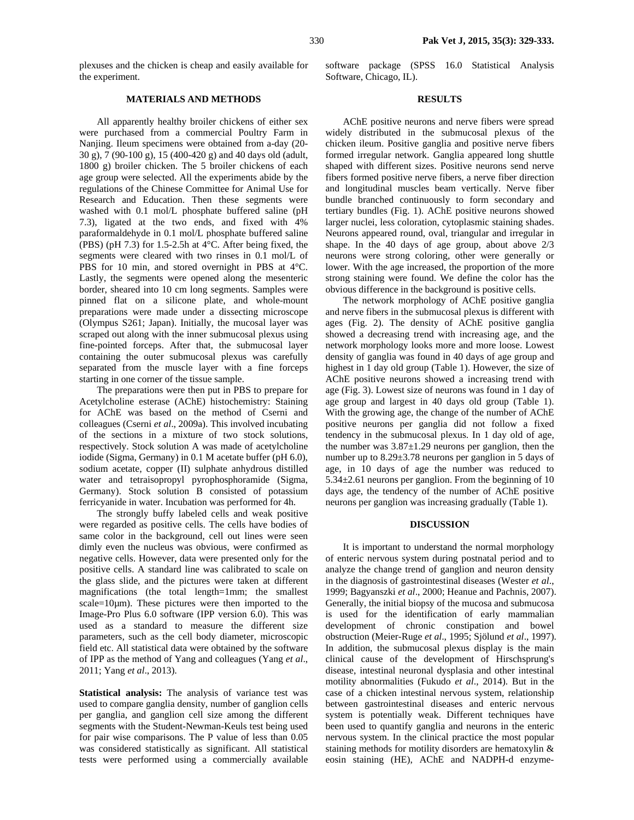plexuses and the chicken is cheap and easily available for the experiment.

## **MATERIALS AND METHODS**

All apparently healthy broiler chickens of either sex were purchased from a commercial Poultry Farm in Nanjing. Ileum specimens were obtained from a-day (20- 30 g), 7 (90-100 g), 15 (400-420 g) and 40 days old (adult, 1800 g) broiler chicken. The 5 broiler chickens of each age group were selected. All the experiments abide by the regulations of the Chinese Committee for Animal Use for Research and Education. Then these segments were washed with 0.1 mol/L phosphate buffered saline (pH 7.3), ligated at the two ends, and fixed with 4% paraformaldehyde in 0.1 mol/L phosphate buffered saline (PBS) (pH 7.3) for 1.5-2.5h at 4°C. After being fixed, the segments were cleared with two rinses in 0.1 mol/L of PBS for 10 min, and stored overnight in PBS at 4°C. Lastly, the segments were opened along the mesenteric border, sheared into 10 cm long segments. Samples were pinned flat on a silicone plate, and whole-mount preparations were made under a dissecting microscope (Olympus S261; Japan). Initially, the mucosal layer was scraped out along with the inner submucosal plexus using fine-pointed forceps. After that, the submucosal layer containing the outer submucosal plexus was carefully separated from the muscle layer with a fine forceps starting in one corner of the tissue sample.

The preparations were then put in PBS to prepare for Acetylcholine esterase (AChE) histochemistry: Staining for AChE was based on the method of Cserni and colleagues (Cserni *et al*., 2009a). This involved incubating of the sections in a mixture of two stock solutions, respectively. Stock solution A was made of acetylcholine iodide (Sigma, Germany) in 0.1 M acetate buffer (pH 6.0), sodium acetate, copper (II) sulphate anhydrous distilled water and tetraisopropyl pyrophosphoramide (Sigma, Germany). Stock solution B consisted of potassium ferricyanide in water. Incubation was performed for 4h.

The strongly buffy labeled cells and weak positive were regarded as positive cells. The cells have bodies of same color in the background, cell out lines were seen dimly even the nucleus was obvious, were confirmed as negative cells. However, data were presented only for the positive cells. A standard line was calibrated to scale on the glass slide, and the pictures were taken at different magnifications (the total length=1mm; the smallest scale=10µm). These pictures were then imported to the Image-Pro Plus 6.0 software (IPP version 6.0). This was used as a standard to measure the different size parameters, such as the cell body diameter, microscopic field etc. All statistical data were obtained by the software of IPP as the method of Yang and colleagues (Yang *et al*., 2011; Yang *et al*., 2013).

**Statistical analysis:** The analysis of variance test was used to compare ganglia density, number of ganglion cells per ganglia, and ganglion cell size among the different segments with the Student-Newman-Keuls test being used for pair wise comparisons. The P value of less than 0.05 was considered statistically as significant. All statistical tests were performed using a commercially available

software package (SPSS 16.0 Statistical Analysis Software, Chicago, IL).

#### **RESULTS**

AChE positive neurons and nerve fibers were spread widely distributed in the submucosal plexus of the chicken ileum. Positive ganglia and positive nerve fibers formed irregular network. Ganglia appeared long shuttle shaped with different sizes. Positive neurons send nerve fibers formed positive nerve fibers, a nerve fiber direction and longitudinal muscles beam vertically. Nerve fiber bundle branched continuously to form secondary and tertiary bundles (Fig. 1). AChE positive neurons showed larger nuclei, less coloration, cytoplasmic staining shades. Neurons appeared round, oval, triangular and irregular in shape. In the 40 days of age group, about above 2/3 neurons were strong coloring, other were generally or lower. With the age increased, the proportion of the more strong staining were found. We define the color has the obvious difference in the background is positive cells.

The network morphology of AChE positive ganglia and nerve fibers in the submucosal plexus is different with ages (Fig. 2). The density of AChE positive ganglia showed a decreasing trend with increasing age, and the network morphology looks more and more loose. Lowest density of ganglia was found in 40 days of age group and highest in 1 day old group (Table 1). However, the size of AChE positive neurons showed a increasing trend with age (Fig. 3). Lowest size of neurons was found in 1 day of age group and largest in 40 days old group (Table 1). With the growing age, the change of the number of AChE positive neurons per ganglia did not follow a fixed tendency in the submucosal plexus. In 1 day old of age, the number was  $3.87\pm1.29$  neurons per ganglion, then the number up to 8.29±3.78 neurons per ganglion in 5 days of age, in 10 days of age the number was reduced to 5.34±2.61 neurons per ganglion. From the beginning of 10 days age, the tendency of the number of AChE positive neurons per ganglion was increasing gradually (Table 1).

#### **DISCUSSION**

It is important to understand the normal morphology of enteric nervous system during postnatal period and to analyze the change trend of ganglion and neuron density in the diagnosis of gastrointestinal diseases (Wester *et al*., 1999; Bagyanszki *et al*., 2000; Heanue and Pachnis, 2007). Generally, the initial biopsy of the mucosa and submucosa is used for the identification of early mammalian development of chronic constipation and bowel obstruction (Meier-Ruge *et al*., 1995; Sjölund *et al*., 1997). In addition, the submucosal plexus display is the main clinical cause of the development of Hirschsprung's disease, intestinal neuronal dysplasia and other intestinal motility abnormalities (Fukudo *et al*., 2014). But in the case of a chicken intestinal nervous system, relationship between gastrointestinal diseases and enteric nervous system is potentially weak. Different techniques have been used to quantify ganglia and neurons in the enteric nervous system. In the clinical practice the most popular staining methods for motility disorders are hematoxylin & eosin staining (HE), AChE and NADPH-d enzyme-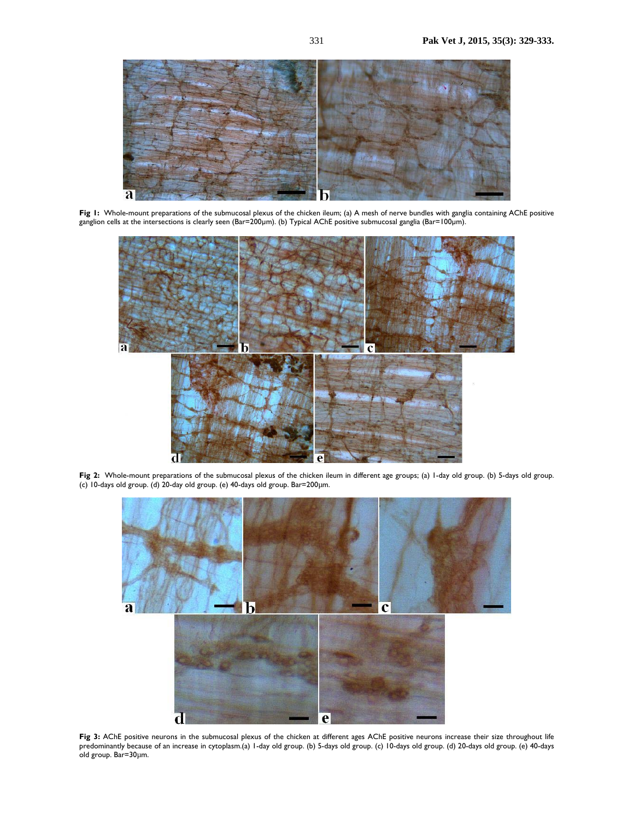

**Fig 1:** Whole-mount preparations of the submucosal plexus of the chicken ileum; (a) A mesh of nerve bundles with ganglia containing AChE positive ganglion cells at the intersections is clearly seen (Bar=200µm). (b) Typical AChE positive submucosal ganglia (Bar=100µm).



**Fig 2:** Whole-mount preparations of the submucosal plexus of the chicken ileum in different age groups; (a) 1-day old group. (b) 5-days old group. (c) 10-days old group. (d) 20-day old group. (e) 40-days old group. Bar=200µm.



Fig 3: AChE positive neurons in the submucosal plexus of the chicken at different ages AChE positive neurons increase their size throughout life predominantly because of an increase in cytoplasm.(a) 1-day old group. (b) 5-days old group. (c) 10-days old group. (d) 20-days old group. (e) 40-days old group. Bar=30µm.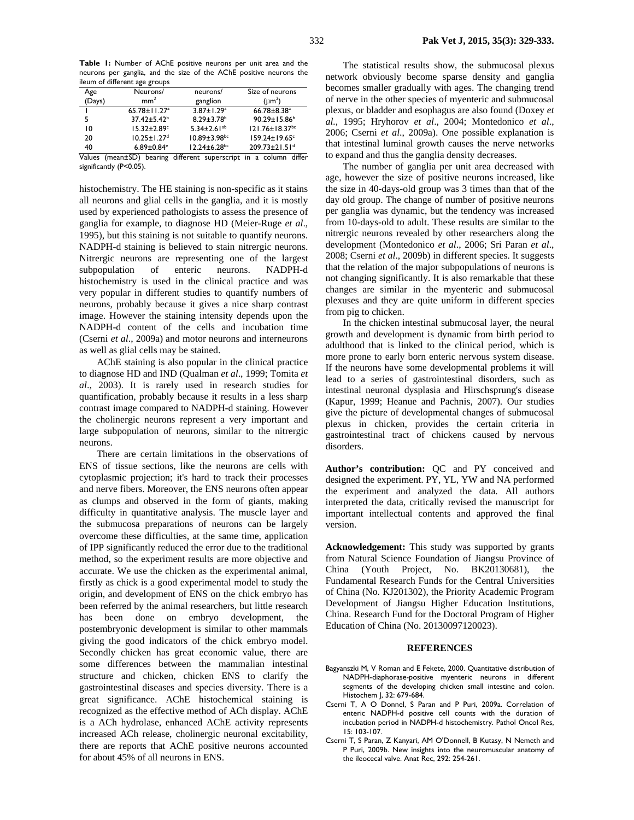**Table 1:** Number of AChE positive neurons per unit area and the neurons per ganglia, and the size of the AChE positive neurons the ileum of different age groups

| $$ or all of one and $\frac{1}{2}$ . oaps |                                |                                |                                  |
|-------------------------------------------|--------------------------------|--------------------------------|----------------------------------|
| Age                                       | Neurons/                       | neurons/                       | Size of neurons                  |
| (Days)                                    | mm <sup>2</sup>                | ganglion                       | $(\mu m^2)$                      |
|                                           | $65.78 \pm 11.27$ <sup>a</sup> | $3.87 \pm 1.29$ <sup>a</sup>   | $66.78 \pm 8.38$ <sup>a</sup>    |
|                                           | $37.42 \pm 5.42^b$             | $8.29 \pm 3.78$ <sup>b</sup>   | $90.29 \pm 15.86^b$              |
| 10                                        | $15.32 \pm 2.89$ <sup>c</sup>  | 5.34 $\pm$ 2.61 <sup>ab</sup>  | $121.76 \pm 18.37$ <sup>bc</sup> |
| 20                                        | $10.25 \pm 1.27$ <sup>d</sup>  | $10.89 \pm 3.98$ <sup>bc</sup> | $159.24 \pm 19.65$ <sup>c</sup>  |
| 40                                        | $6.89 \pm 0.84$ <sup>e</sup>   | $12.24 \pm 6.28$ <sup>bc</sup> | $209.73 \pm 21.51$ <sup>d</sup>  |

Values (mean±SD) bearing different superscript in a column differ significantly (P<0.05).

histochemistry. The HE staining is non-specific as it stains all neurons and glial cells in the ganglia, and it is mostly used by experienced pathologists to assess the presence of ganglia for example, to diagnose HD (Meier-Ruge *et al*., 1995), but this staining is not suitable to quantify neurons. NADPH-d staining is believed to stain nitrergic neurons. Nitrergic neurons are representing one of the largest subpopulation of enteric neurons. NADPH-d histochemistry is used in the clinical practice and was very popular in different studies to quantify numbers of neurons, probably because it gives a nice sharp contrast image. However the staining intensity depends upon the NADPH-d content of the cells and incubation time (Cserni *et al*., 2009a) and motor neurons and interneurons as well as glial cells may be stained.

AChE staining is also popular in the clinical practice to diagnose HD and IND (Qualman *et al*., 1999; Tomita *et al*., 2003). It is rarely used in research studies for quantification, probably because it results in a less sharp contrast image compared to NADPH-d staining. However the cholinergic neurons represent a very important and large subpopulation of neurons, similar to the nitrergic neurons.

There are certain limitations in the observations of ENS of tissue sections, like the neurons are cells with cytoplasmic projection; it's hard to track their processes and nerve fibers. Moreover, the ENS neurons often appear as clumps and observed in the form of giants, making difficulty in quantitative analysis. The muscle layer and the submucosa preparations of neurons can be largely overcome these difficulties, at the same time, application of IPP significantly reduced the error due to the traditional method, so the experiment results are more objective and accurate. We use the chicken as the experimental animal, firstly as chick is a good experimental model to study the origin, and development of ENS on the chick embryo has been referred by the animal researchers, but little research has been done on embryo development, the postembryonic development is similar to other mammals giving the good indicators of the chick embryo model. Secondly chicken has great economic value, there are some differences between the mammalian intestinal structure and chicken, chicken ENS to clarify the gastrointestinal diseases and species diversity. There is a great significance. AChE histochemical staining is recognized as the effective method of ACh display. AChE is a ACh hydrolase, enhanced AChE activity represents increased ACh release, cholinergic neuronal excitability, there are reports that AChE positive neurons accounted for about 45% of all neurons in ENS.

The statistical results show, the submucosal plexus network obviously become sparse density and ganglia becomes smaller gradually with ages. The changing trend of nerve in the other species of myenteric and submucosal plexus, or bladder and esophagus are also found (Doxey *et al.*, 1995; Hryhorov *et al*., 2004; Montedonico *et al*., 2006; Cserni *et al*., 2009a). One possible explanation is that intestinal luminal growth causes the nerve networks to expand and thus the ganglia density decreases.

The number of ganglia per unit area decreased with age, however the size of positive neurons increased, like the size in 40-days-old group was 3 times than that of the day old group. The change of number of positive neurons per ganglia was dynamic, but the tendency was increased from 10-days-old to adult. These results are similar to the nitrergic neurons revealed by other researchers along the development (Montedonico *et al*., 2006; Sri Paran *et al*., 2008; Cserni *et al*., 2009b) in different species. It suggests that the relation of the major subpopulations of neurons is not changing significantly. It is also remarkable that these changes are similar in the myenteric and submucosal plexuses and they are quite uniform in different species from pig to chicken.

In the chicken intestinal submucosal layer, the neural growth and development is dynamic from birth period to adulthood that is linked to the clinical period, which is more prone to early born enteric nervous system disease. If the neurons have some developmental problems it will lead to a series of gastrointestinal disorders, such as intestinal neuronal dysplasia and Hirschsprung's disease (Kapur, 1999; Heanue and Pachnis, 2007). Our studies give the picture of developmental changes of submucosal plexus in chicken, provides the certain criteria in gastrointestinal tract of chickens caused by nervous disorders.

**Author's contribution:** QC and PY conceived and designed the experiment. PY, YL, YW and NA performed the experiment and analyzed the data. All authors interpreted the data, critically revised the manuscript for important intellectual contents and approved the final version.

**Acknowledgement:** This study was supported by grants from Natural Science Foundation of Jiangsu Province of China (Youth Project, No. BK20130681), the Fundamental Research Funds for the Central Universities of China (No. KJ201302), the Priority Academic Program Development of Jiangsu Higher Education Institutions, China. Research Fund for the Doctoral Program of Higher Education of China (No. 20130097120023).

#### **REFERENCES**

- Bagyanszki M, V Roman and E Fekete, 2000. Quantitative distribution of NADPH-diaphorase-positive myenteric neurons in different segments of the developing chicken small intestine and colon. Histochem J, 32: 679-684.
- Cserni T, A O Donnel, S Paran and P Puri, 2009a. Correlation of enteric NADPH-d positive cell counts with the duration of incubation period in NADPH-d histochemistry. Pathol Oncol Res, 15: 103-107.
- Cserni T, S Paran, Z Kanyari, AM O'Donnell, B Kutasy, N Nemeth and P Puri, 2009b. New insights into the neuromuscular anatomy of the ileocecal valve. Anat Rec, 292: 254-261.